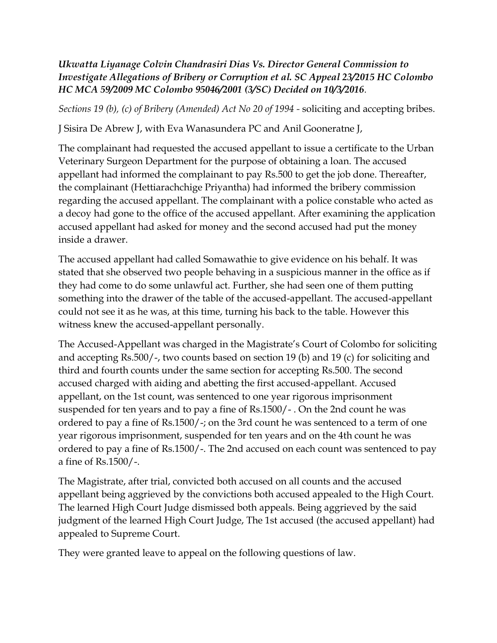## *Ukwatta Liyanage Colvin Chandrasiri Dias Vs. Director General Commission to Investigate Allegations of Bribery or Corruption et al. SC Appeal 23/2015 HC Colombo HC MCA 59/2009 MC Colombo 95046/2001 (3/SC) Decided on 10/3/2016.*

*Sections 19 (b), (c) of Bribery (Amended) Act No 20 of 1994 -* soliciting and accepting bribes.

J Sisira De Abrew J, with Eva Wanasundera PC and Anil Gooneratne J,

The complainant had requested the accused appellant to issue a certificate to the Urban Veterinary Surgeon Department for the purpose of obtaining a loan. The accused appellant had informed the complainant to pay Rs.500 to get the job done. Thereafter, the complainant (Hettiarachchige Priyantha) had informed the bribery commission regarding the accused appellant. The complainant with a police constable who acted as a decoy had gone to the office of the accused appellant. After examining the application accused appellant had asked for money and the second accused had put the money inside a drawer.

The accused appellant had called Somawathie to give evidence on his behalf. It was stated that she observed two people behaving in a suspicious manner in the office as if they had come to do some unlawful act. Further, she had seen one of them putting something into the drawer of the table of the accused-appellant. The accused-appellant could not see it as he was, at this time, turning his back to the table. However this witness knew the accused-appellant personally.

The Accused-Appellant was charged in the Magistrate's Court of Colombo for soliciting and accepting Rs.500/-, two counts based on section 19 (b) and 19 (c) for soliciting and third and fourth counts under the same section for accepting Rs.500. The second accused charged with aiding and abetting the first accused-appellant. Accused appellant, on the 1st count, was sentenced to one year rigorous imprisonment suspended for ten years and to pay a fine of Rs.1500/- . On the 2nd count he was ordered to pay a fine of Rs.1500/-; on the 3rd count he was sentenced to a term of one year rigorous imprisonment, suspended for ten years and on the 4th count he was ordered to pay a fine of Rs.1500/-. The 2nd accused on each count was sentenced to pay a fine of Rs.1500/-.

The Magistrate, after trial, convicted both accused on all counts and the accused appellant being aggrieved by the convictions both accused appealed to the High Court. The learned High Court Judge dismissed both appeals. Being aggrieved by the said judgment of the learned High Court Judge, The 1st accused (the accused appellant) had appealed to Supreme Court.

They were granted leave to appeal on the following questions of law.